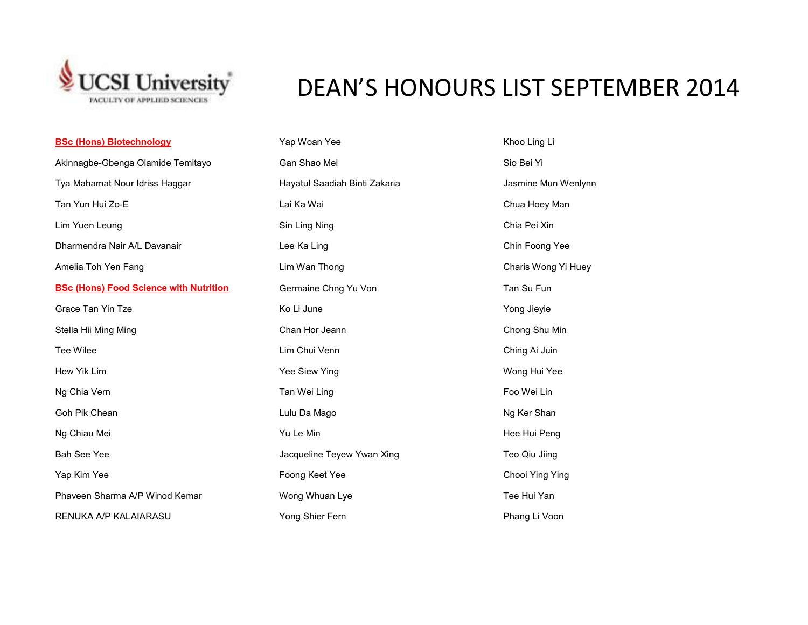

## DEAN'S HONOURS LIST SEPTEMBER 2014

| <b>BSc (Hons) Biotechnology</b>               | Yap Woan Yee                  | Khoo Ling Li        |
|-----------------------------------------------|-------------------------------|---------------------|
| Akinnagbe-Gbenga Olamide Temitayo             | Gan Shao Mei                  | Sio Bei Yi          |
| Tya Mahamat Nour Idriss Haggar                | Hayatul Saadiah Binti Zakaria | Jasmine Mun Wenlynn |
| Tan Yun Hui Zo-E                              | Lai Ka Wai                    | Chua Hoey Man       |
| Lim Yuen Leung                                | Sin Ling Ning                 | Chia Pei Xin        |
| Dharmendra Nair A/L Davanair                  | Lee Ka Ling                   | Chin Foong Yee      |
| Amelia Toh Yen Fang                           | Lim Wan Thong                 | Charis Wong Yi Huey |
| <b>BSc (Hons) Food Science with Nutrition</b> | Germaine Chng Yu Von          | Tan Su Fun          |
| Grace Tan Yin Tze                             | Ko Li June                    | Yong Jieyie         |
| Stella Hii Ming Ming                          | Chan Hor Jeann                | Chong Shu Min       |
| Tee Wilee                                     | Lim Chui Venn                 | Ching Ai Juin       |
| Hew Yik Lim                                   | Yee Siew Ying                 | Wong Hui Yee        |
| Ng Chia Vern                                  | Tan Wei Ling                  | Foo Wei Lin         |
| Goh Pik Chean                                 | Lulu Da Mago                  | Ng Ker Shan         |
| Ng Chiau Mei                                  | Yu Le Min                     | Hee Hui Peng        |
| <b>Bah See Yee</b>                            | Jacqueline Teyew Ywan Xing    | Teo Qiu Jiing       |
| Yap Kim Yee                                   | Foong Keet Yee                | Chooi Ying Ying     |
| Phaveen Sharma A/P Winod Kemar                | Wong Whuan Lye                | Tee Hui Yan         |
| RENUKA A/P KALAIARASU                         | Yong Shier Fern               | Phang Li Voon       |